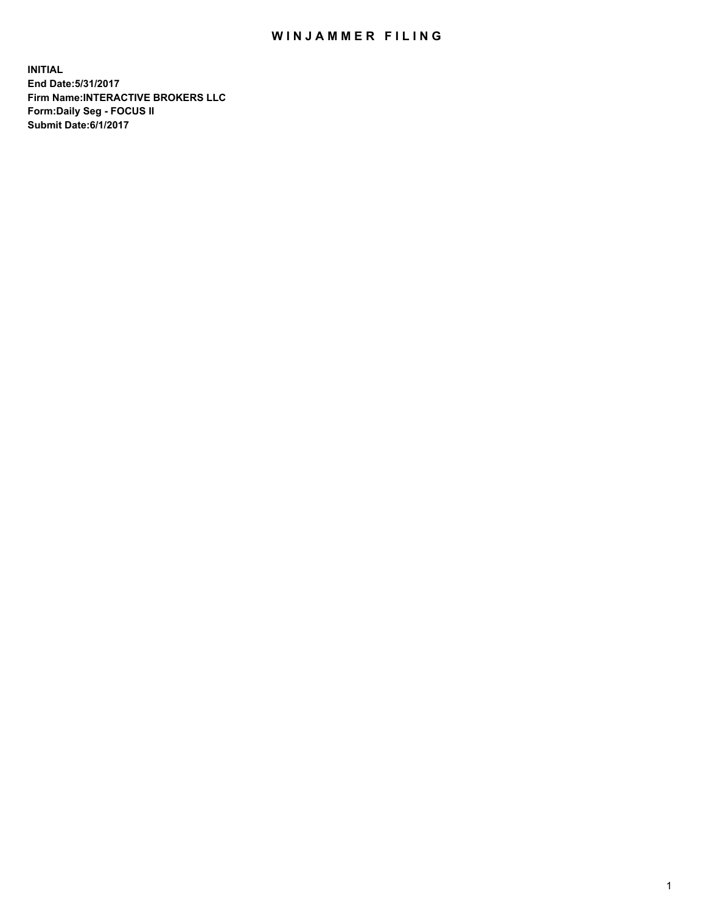## WIN JAMMER FILING

**INITIAL End Date:5/31/2017 Firm Name:INTERACTIVE BROKERS LLC Form:Daily Seg - FOCUS II Submit Date:6/1/2017**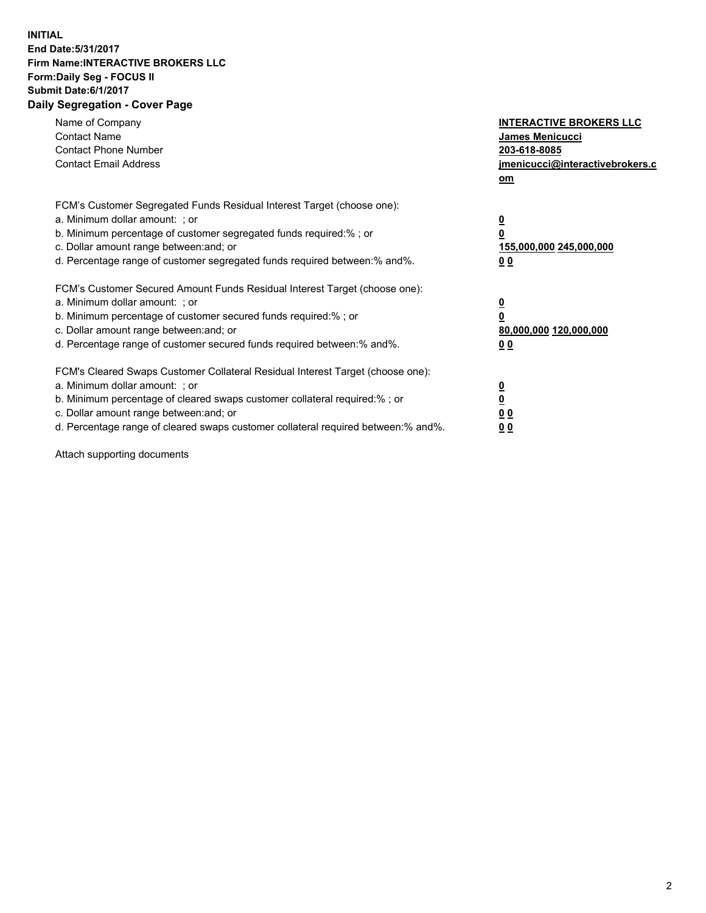## **INITIAL End Date:5/31/2017 Firm Name:INTERACTIVE BROKERS LLC Form:Daily Seg - FOCUS II Submit Date:6/1/2017 Daily Segregation - Cover Page**

| Name of Company<br><b>Contact Name</b><br><b>Contact Phone Number</b><br><b>Contact Email Address</b>                                                                                                                                                                                                                          | <b>INTERACTIVE BROKERS LLC</b><br>James Menicucci<br>203-618-8085<br>jmenicucci@interactivebrokers.c<br>om |
|--------------------------------------------------------------------------------------------------------------------------------------------------------------------------------------------------------------------------------------------------------------------------------------------------------------------------------|------------------------------------------------------------------------------------------------------------|
| FCM's Customer Segregated Funds Residual Interest Target (choose one):<br>a. Minimum dollar amount: ; or<br>b. Minimum percentage of customer segregated funds required:% ; or<br>c. Dollar amount range between: and; or<br>d. Percentage range of customer segregated funds required between:% and%.                         | $\overline{\mathbf{0}}$<br><u>155,000,000 245,000,000</u><br>0 <sub>0</sub>                                |
| FCM's Customer Secured Amount Funds Residual Interest Target (choose one):<br>a. Minimum dollar amount: ; or<br>b. Minimum percentage of customer secured funds required:%; or<br>c. Dollar amount range between: and; or<br>d. Percentage range of customer secured funds required between:% and%.                            | $\overline{\mathbf{0}}$<br>0<br>80,000,000 120,000,000<br>0 <sub>0</sub>                                   |
| FCM's Cleared Swaps Customer Collateral Residual Interest Target (choose one):<br>a. Minimum dollar amount: ; or<br>b. Minimum percentage of cleared swaps customer collateral required:% ; or<br>c. Dollar amount range between: and; or<br>d. Percentage range of cleared swaps customer collateral required between:% and%. | $\overline{\mathbf{0}}$<br>$\underline{\mathbf{0}}$<br>0 <sub>0</sub><br><u>00</u>                         |

Attach supporting documents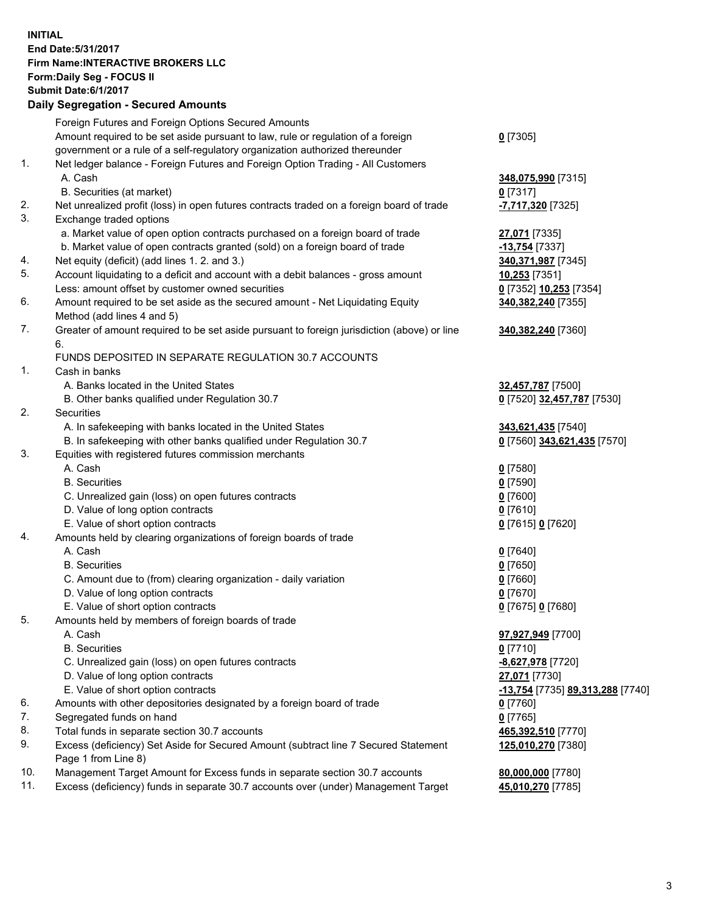## **INITIAL End Date:5/31/2017 Firm Name:INTERACTIVE BROKERS LLC Form:Daily Seg - FOCUS II Submit Date:6/1/2017 Daily Segregation - Secured Amounts**

|     | Foreign Futures and Foreign Options Secured Amounts                                         |                                  |
|-----|---------------------------------------------------------------------------------------------|----------------------------------|
|     | Amount required to be set aside pursuant to law, rule or regulation of a foreign            | $0$ [7305]                       |
|     | government or a rule of a self-regulatory organization authorized thereunder                |                                  |
| 1.  | Net ledger balance - Foreign Futures and Foreign Option Trading - All Customers             |                                  |
|     | A. Cash                                                                                     | 348,075,990 [7315]               |
|     | B. Securities (at market)                                                                   | $0$ [7317]                       |
| 2.  | Net unrealized profit (loss) in open futures contracts traded on a foreign board of trade   | -7,717,320 [7325]                |
| 3.  | Exchange traded options                                                                     |                                  |
|     | a. Market value of open option contracts purchased on a foreign board of trade              | 27,071 [7335]                    |
|     | b. Market value of open contracts granted (sold) on a foreign board of trade                | -13,754 [7337]                   |
| 4.  | Net equity (deficit) (add lines 1.2. and 3.)                                                |                                  |
| 5.  | Account liquidating to a deficit and account with a debit balances - gross amount           | 340,371,987 [7345]               |
|     |                                                                                             | 10,253 [7351]                    |
|     | Less: amount offset by customer owned securities                                            | 0 [7352] 10,253 [7354]           |
| 6.  | Amount required to be set aside as the secured amount - Net Liquidating Equity              | 340,382,240 [7355]               |
|     | Method (add lines 4 and 5)                                                                  |                                  |
| 7.  | Greater of amount required to be set aside pursuant to foreign jurisdiction (above) or line | 340,382,240 [7360]               |
|     | 6.                                                                                          |                                  |
|     | FUNDS DEPOSITED IN SEPARATE REGULATION 30.7 ACCOUNTS                                        |                                  |
| 1.  | Cash in banks                                                                               |                                  |
|     | A. Banks located in the United States                                                       | 32,457,787 [7500]                |
|     | B. Other banks qualified under Regulation 30.7                                              | 0 [7520] 32,457,787 [7530]       |
| 2.  | Securities                                                                                  |                                  |
|     | A. In safekeeping with banks located in the United States                                   | 343,621,435 [7540]               |
|     | B. In safekeeping with other banks qualified under Regulation 30.7                          | 0 [7560] 343,621,435 [7570]      |
| 3.  | Equities with registered futures commission merchants                                       |                                  |
|     | A. Cash                                                                                     | $0$ [7580]                       |
|     | <b>B.</b> Securities                                                                        | $0$ [7590]                       |
|     | C. Unrealized gain (loss) on open futures contracts                                         | $0$ [7600]                       |
|     | D. Value of long option contracts                                                           | $0$ [7610]                       |
|     | E. Value of short option contracts                                                          | 0 [7615] 0 [7620]                |
| 4.  | Amounts held by clearing organizations of foreign boards of trade                           |                                  |
|     | A. Cash                                                                                     | $0$ [7640]                       |
|     | <b>B.</b> Securities                                                                        | $0$ [7650]                       |
|     | C. Amount due to (from) clearing organization - daily variation                             | $0$ [7660]                       |
|     | D. Value of long option contracts                                                           | $0$ [7670]                       |
|     | E. Value of short option contracts                                                          | 0 [7675] 0 [7680]                |
| 5.  | Amounts held by members of foreign boards of trade                                          |                                  |
|     | A. Cash                                                                                     | 97,927,949 [7700]                |
|     | <b>B.</b> Securities                                                                        | $0$ [7710]                       |
|     | C. Unrealized gain (loss) on open futures contracts                                         | -8,627,978 [7720]                |
|     | D. Value of long option contracts                                                           | 27,071 [7730]                    |
|     | E. Value of short option contracts                                                          | -13,754 [7735] 89,313,288 [7740] |
| 6.  | Amounts with other depositories designated by a foreign board of trade                      | $0$ [7760]                       |
| 7.  | Segregated funds on hand                                                                    | $0$ [7765]                       |
| 8.  | Total funds in separate section 30.7 accounts                                               | 465,392,510 [7770]               |
| 9.  | Excess (deficiency) Set Aside for Secured Amount (subtract line 7 Secured Statement         | 125,010,270 [7380]               |
|     | Page 1 from Line 8)                                                                         |                                  |
| 10. | Management Target Amount for Excess funds in separate section 30.7 accounts                 | 80,000,000 [7780]                |
| 11. | Excess (deficiency) funds in separate 30.7 accounts over (under) Management Target          | 45,010,270 [7785]                |
|     |                                                                                             |                                  |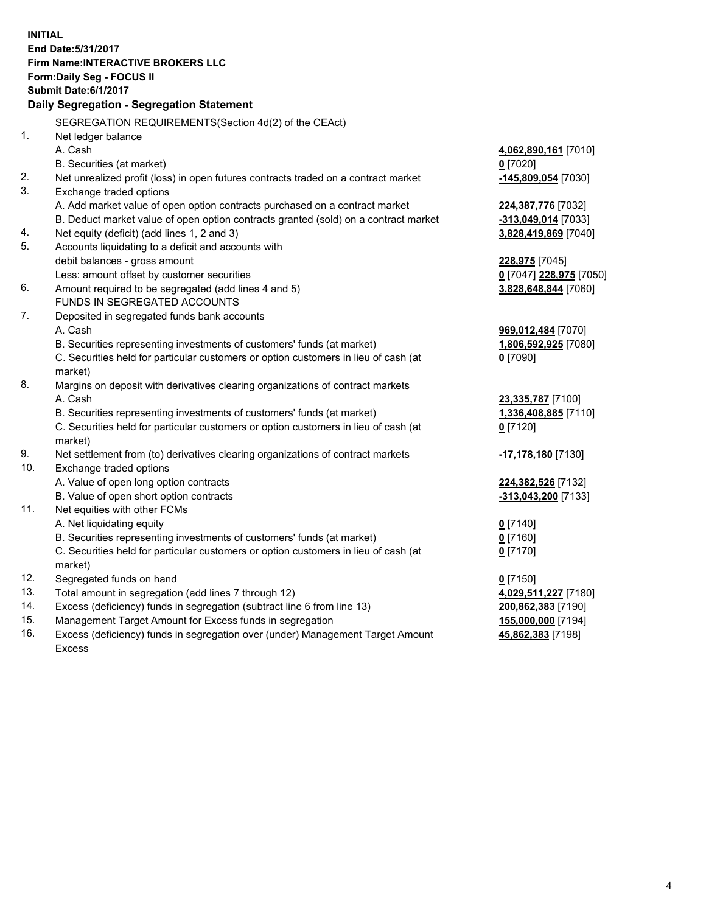**INITIAL End Date:5/31/2017 Firm Name:INTERACTIVE BROKERS LLC Form:Daily Seg - FOCUS II Submit Date:6/1/2017 Daily Segregation - Segregation Statement** SEGREGATION REQUIREMENTS(Section 4d(2) of the CEAct) 1. Net ledger balance A. Cash **4,062,890,161** [7010] B. Securities (at market) **0** [7020] 2. Net unrealized profit (loss) in open futures contracts traded on a contract market **-145,809,054** [7030] 3. Exchange traded options A. Add market value of open option contracts purchased on a contract market **224,387,776** [7032] B. Deduct market value of open option contracts granted (sold) on a contract market **-313,049,014** [7033] 4. Net equity (deficit) (add lines 1, 2 and 3) **3,828,419,869** [7040] 5. Accounts liquidating to a deficit and accounts with debit balances - gross amount **228,975** [7045] Less: amount offset by customer securities **0** [7047] **228,975** [7050] 6. Amount required to be segregated (add lines 4 and 5) **3,828,648,844** [7060] FUNDS IN SEGREGATED ACCOUNTS 7. Deposited in segregated funds bank accounts A. Cash **969,012,484** [7070] B. Securities representing investments of customers' funds (at market) **1,806,592,925** [7080] C. Securities held for particular customers or option customers in lieu of cash (at market) **0** [7090] 8. Margins on deposit with derivatives clearing organizations of contract markets A. Cash **23,335,787** [7100] B. Securities representing investments of customers' funds (at market) **1,336,408,885** [7110] C. Securities held for particular customers or option customers in lieu of cash (at market) **0** [7120] 9. Net settlement from (to) derivatives clearing organizations of contract markets **-17,178,180** [7130] 10. Exchange traded options A. Value of open long option contracts **224,382,526** [7132] B. Value of open short option contracts **-313,043,200** [7133] 11. Net equities with other FCMs A. Net liquidating equity **0** [7140] B. Securities representing investments of customers' funds (at market) **0** [7160] C. Securities held for particular customers or option customers in lieu of cash (at market) **0** [7170] 12. Segregated funds on hand **0** [7150] 13. Total amount in segregation (add lines 7 through 12) **4,029,511,227** [7180] 14. Excess (deficiency) funds in segregation (subtract line 6 from line 13) **200,862,383** [7190] 15. Management Target Amount for Excess funds in segregation **155,000,000** [7194] 16. Excess (deficiency) funds in segregation over (under) Management Target Amount **45,862,383** [7198]

Excess